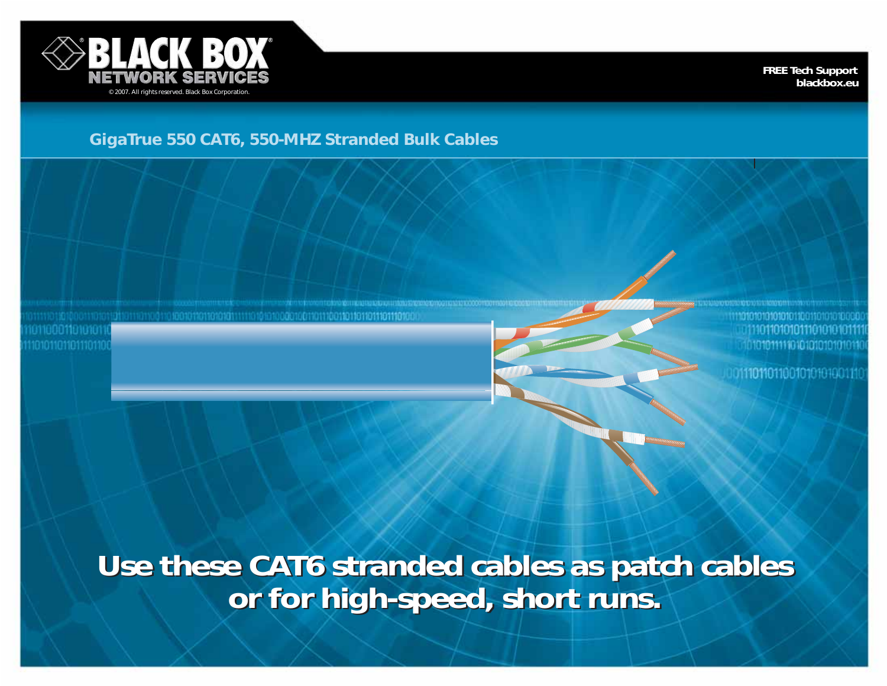

**FREE Tech Support blackbox.eu**

## **GigaTrue 550 CAT6, 550-MHZ Stranded Bulk Cables**

010101111101010101010101

01110110110010101010111

**Use these CAT6 stranded cables as patch cables or for high-speed, short runs. Use these CAT6 stranded cables as patch cables or for high-speed, short runs.**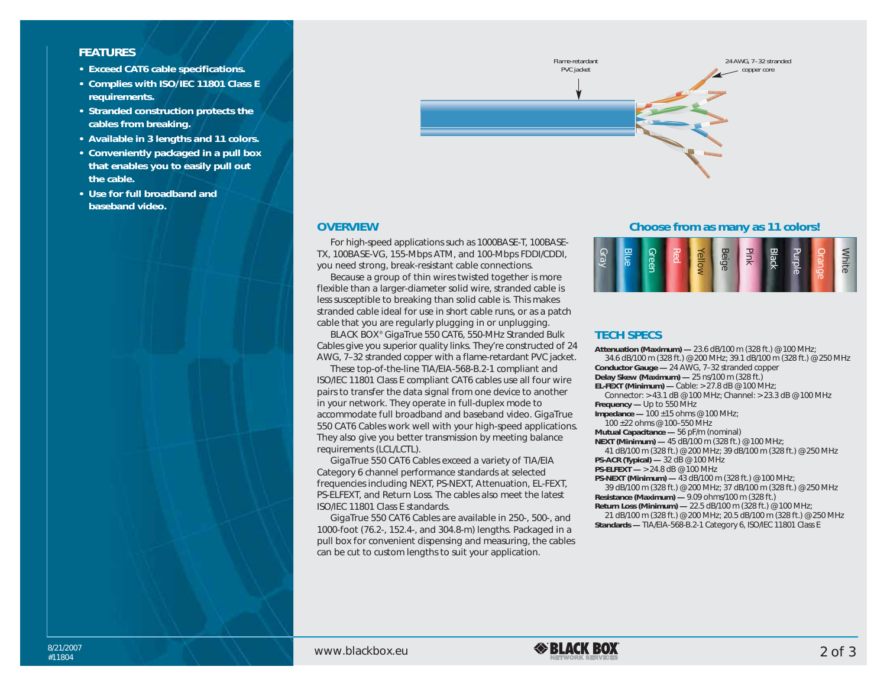### **FEATURES**

- **• Exceed CAT6 cable specifications.**
- **• Complies with ISO/IEC 11801 Class E requirements.**
- **• Stranded construction protects the cables from breaking.**
- **• Available in 3 lengths and 11 colors.**
- **• Conveniently packaged in a pull box that enables you to easily pull out the cable.**
- **• Use for full broadband and baseband video.**



#### **OVERVIEW**

For high-speed applications such as 1000BASE-T, 100BASE-TX, 100BASE-VG, 155-Mbps ATM, and 100-Mbps FDDI/CDDI, you need strong, break-resistant cable connections.

Because a group of thin wires twisted together is more flexible than a larger-diameter solid wire, stranded cable is less susceptible to breaking than solid cable is. This makes stranded cable ideal for use in short cable runs, or as a patch cable that you are regularly plugging in or unplugging.

BLACK BOX® GigaTrue 550 CAT6, 550-MHz Stranded Bulk Cables give you superior quality links. They're constructed of 24 AWG, 7–32 stranded copper with a flame-retardant PVC jacket.

These top-of-the-line TIA/EIA-568-B.2-1 compliant and ISO/IEC 11801 Class E compliant CAT6 cables use all four wire pairs to transfer the data signal from one device to another in your network. They operate in full-duplex mode to accommodate full broadband and baseband video. GigaTrue 550 CAT6 Cables work well with your high-speed applications. They also give you better transmission by meeting balance requirements (LCL/LCTL).

GigaTrue 550 CAT6 Cables exceed a variety of TIA/EIA Category 6 channel performance standards at selected frequencies including NEXT, PS-NEXT, Attenuation, EL-FEXT, PS-ELFEXT, and Return Loss. The cables also meet the latest ISO/IEC 11801 Class E standards.

GigaTrue 550 CAT6 Cables are available in 250-, 500-, and 1000-foot (76.2-, 152.4-, and 304.8-m) lengths. Packaged in a pull box for convenient dispensing and measuring, the cables can be cut to custom lengths to suit your application.

**Choose from as many as 11 colors!**

| <b>Blue</b><br>ດ<br>$\bar{\vec{\omega}}$ | Green<br>Red | Beige<br><u>ello</u> | Pink | <b>Black</b> | $\overline{\phantom{a}}$<br>$\overline{\sigma}$ | <b>Prange</b> | lite |
|------------------------------------------|--------------|----------------------|------|--------------|-------------------------------------------------|---------------|------|
|------------------------------------------|--------------|----------------------|------|--------------|-------------------------------------------------|---------------|------|

### **TECH SPECS**

**Attenuation (Maximum) —** 23.6 dB/100 m (328 ft.) @ 100 MHz; 34.6 dB/100 m (328 ft.) @ 200 MHz; 39.1 dB/100 m (328 ft.) @ 250 MHz **Conductor Gauge —** 24 AWG, 7–32 stranded copper **Delay Skew (Maximum) —** 25 ns/100 m (328 ft.) **EL-FEXT (Minimum) —** Cable: > 27.8 dB @ 100 MHz; Connector: > 43.1 dB @ 100 MHz; Channel: > 23.3 dB @ 100 MHz **Frequency —** Up to 550 MHz **Impedance —** 100 ±15 ohms @ 100 MHz; 100 ±22 ohms @ 100–550 MHz **Mutual Capacitance —** 56 pF/m (nominal) **NEXT (Minimum) —** 45 dB/100 m (328 ft.) @ 100 MHz; 41 dB/100 m (328 ft.) @ 200 MHz; 39 dB/100 m (328 ft.) @ 250 MHz **PS-ACR (Typical) —** 32 dB @ 100 MHz **PS-ELFEXT —** > 24.8 dB @ 100 MHz **PS-NEXT (Minimum) —** 43 dB/100 m (328 ft.) @ 100 MHz;

39 dB/100 m (328 ft.) @ 200 MHz; 37 dB/100 m (328 ft.) @ 250 MHz **Resistance (Maximum) —** 9.09 ohms/100 m (328 ft.)

**Return Loss (Minimum) —** 22.5 dB/100 m (328 ft.) @ 100 MHz;

21 dB/100 m (328 ft.) @ 200 MHz; 20.5 dB/100 m (328 ft.) @ 250 MHz **Standards —** TIA/EIA-568-B.2-1 Category 6, ISO/IEC 11801 Class E